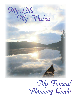## *My Life My Life My Wishes My Wishes*

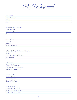*My Background*

| <b>Full Name:</b>                                                                                                                                                                                                             |
|-------------------------------------------------------------------------------------------------------------------------------------------------------------------------------------------------------------------------------|
| <b>Street Address:</b>                                                                                                                                                                                                        |
| State:                                                                                                                                                                                                                        |
| Zip:                                                                                                                                                                                                                          |
|                                                                                                                                                                                                                               |
|                                                                                                                                                                                                                               |
| <b>Social Security Number:</b><br><u> 1980 - Andrea Andrew Maria (h. 1980).</u>                                                                                                                                               |
| Date of Birth:<br><u> 1980 - Johann Barn, amerikan besteman besteman besteman besteman besteman besteman besteman besteman besteman</u>                                                                                       |
| Place of Birth:                                                                                                                                                                                                               |
| Sex:                                                                                                                                                                                                                          |
|                                                                                                                                                                                                                               |
| Occupation: Designation Contract Contract Contract Contract Contract Contract Contract Contract Contract Contract Contract Contract Contract Contract Contract Contract Contract Contract Contract Contract Contract Contract |
| Employer:<br><u> 1989 - Johann Stein, mars an de Frankrik (f. 1989)</u>                                                                                                                                                       |
| <b>Business:</b>                                                                                                                                                                                                              |
| Years Employed:                                                                                                                                                                                                               |
|                                                                                                                                                                                                                               |
|                                                                                                                                                                                                                               |
| <b>Military Serial or Regimental Number:</b>                                                                                                                                                                                  |
| Rank:                                                                                                                                                                                                                         |
| Places and Dates of Service: Manual Assembly Places and Dates of Service:                                                                                                                                                     |
| War Record:                                                                                                                                                                                                                   |
|                                                                                                                                                                                                                               |
| Education:                                                                                                                                                                                                                    |
| <b>Titles / Designations:</b><br><u> 1980 - Andrea Andrew Maria (h. 1980).</u>                                                                                                                                                |
| <u>Club / Lodge Memberships:</u>                                                                                                                                                                                              |
| <b>Volunteer Associations:</b>                                                                                                                                                                                                |
|                                                                                                                                                                                                                               |
| <b>Marital Status:</b>                                                                                                                                                                                                        |
| Maiden Name:                                                                                                                                                                                                                  |
|                                                                                                                                                                                                                               |
| Name of Spouse:                                                                                                                                                                                                               |
| Date of Marriage:                                                                                                                                                                                                             |
|                                                                                                                                                                                                                               |
| Father's Name:                                                                                                                                                                                                                |

| <b>Father's Place of Birth:</b> |  |
|---------------------------------|--|
| Mother's Maiden Name:           |  |
| Mother's Place of Birth:        |  |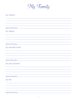*My Family*

| My Children                  |
|------------------------------|
|                              |
|                              |
|                              |
| <b>Special Instructions:</b> |
| My Siblings                  |
|                              |
|                              |
| <b>Special Instructions:</b> |
| My Extended Family           |
|                              |
|                              |
| <b>Special Instructions:</b> |
| My Special Friends           |
|                              |
|                              |
| <b>Special Instructions:</b> |
| My Pets                      |
|                              |
|                              |
| <b>Special Instructions:</b> |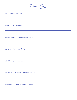*My Life*

## *My Accomplishments*

*My Favorite Memories*

*My Religious Affiliation / My Church*

*My Organizations / Clubs*

*My Hobbies and Interests*

*My Favorite Writings, Scriptures, Music*

*My Memorial Service Should Express*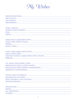

| <b>Preferred Funeral Home:</b> |  |
|--------------------------------|--|
| Place of Service:              |  |
| Type of Service:               |  |
| <b>Special Requests:</b>       |  |

*Clergy / Layperson: Reading / Scripture Selections: Music: Flowers:*

*Lodge, Society or Organization Present: Veteran's Flag - Folded or Draped: Clothing: Jewelry / Glasses:*

*Casket - Wood, Copper, Bronze or Steel: Open or Closed Casket: Outer Burial Container - Copper, Bronze, Steel or Concrete: Pallbearers:*

| Urn - Bronze, Wood, Marble or Other:               |  |
|----------------------------------------------------|--|
| Memorial Service Prior to or After Cremation:      |  |
| Memorial Service With or Without Cremated Remains: |  |
| <b>Disposition of Cremated Remains:</b>            |  |

| <b>Cemetery Name and Telephone:</b>    |  |
|----------------------------------------|--|
| <b>Memorial Service at Cemetery:</b>   |  |
| Burial / Mausoleum / Lawn Crypt Space: |  |
| <b>Alternative Disposition:</b>        |  |
|                                        |  |

| <b>Monument Type:</b>  |  |
|------------------------|--|
| <i>Material:</i>       |  |
| Size / Specifications: |  |
| Inscription:           |  |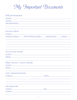*My Important Documents*

## *Will and Testament Insurance Policies Social Security Benefits Military Records / Veteran's Benefits Location: Special Instructions: Attorney: Location: Insurance Company: Policy/Certificate Number: Benefit Amount: Purpose: Location: Safe Deposit Box Location: Location: Contents: Details: 401K / Retirement Benefits Company: Keys: Contact: Details:*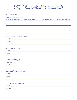## *My Important Documents*

| <b>Bank Accounts</b>                                                       |                                      |
|----------------------------------------------------------------------------|--------------------------------------|
| Location of Bank Statements:                                               |                                      |
| Bank Name/Address:<br><b>Account Number:</b>                               | Type of Account: Name(s) on Account: |
|                                                                            |                                      |
|                                                                            |                                      |
|                                                                            |                                      |
|                                                                            |                                      |
|                                                                            |                                      |
| Stocks, Bonds, Mutual Funds                                                |                                      |
| Location:<br><u> 1980 - Johann Barn, mars an t-Amerikaansk politiker (</u> |                                      |
| Details:                                                                   |                                      |
|                                                                            |                                      |
| <b>Miscellaneous Assets</b>                                                |                                      |
| Location:                                                                  |                                      |
| Details:                                                                   |                                      |
|                                                                            |                                      |
|                                                                            |                                      |
| Deeds / Mortgages<br>Location:                                             |                                      |
| Details:                                                                   |                                      |
|                                                                            |                                      |
|                                                                            |                                      |
| <b>Automobile Titles / Records</b>                                         |                                      |
| Location:                                                                  |                                      |
| Details:                                                                   |                                      |
|                                                                            |                                      |
| <b>Tax Returns and Records</b>                                             |                                      |
| Location:                                                                  |                                      |

*Details:*